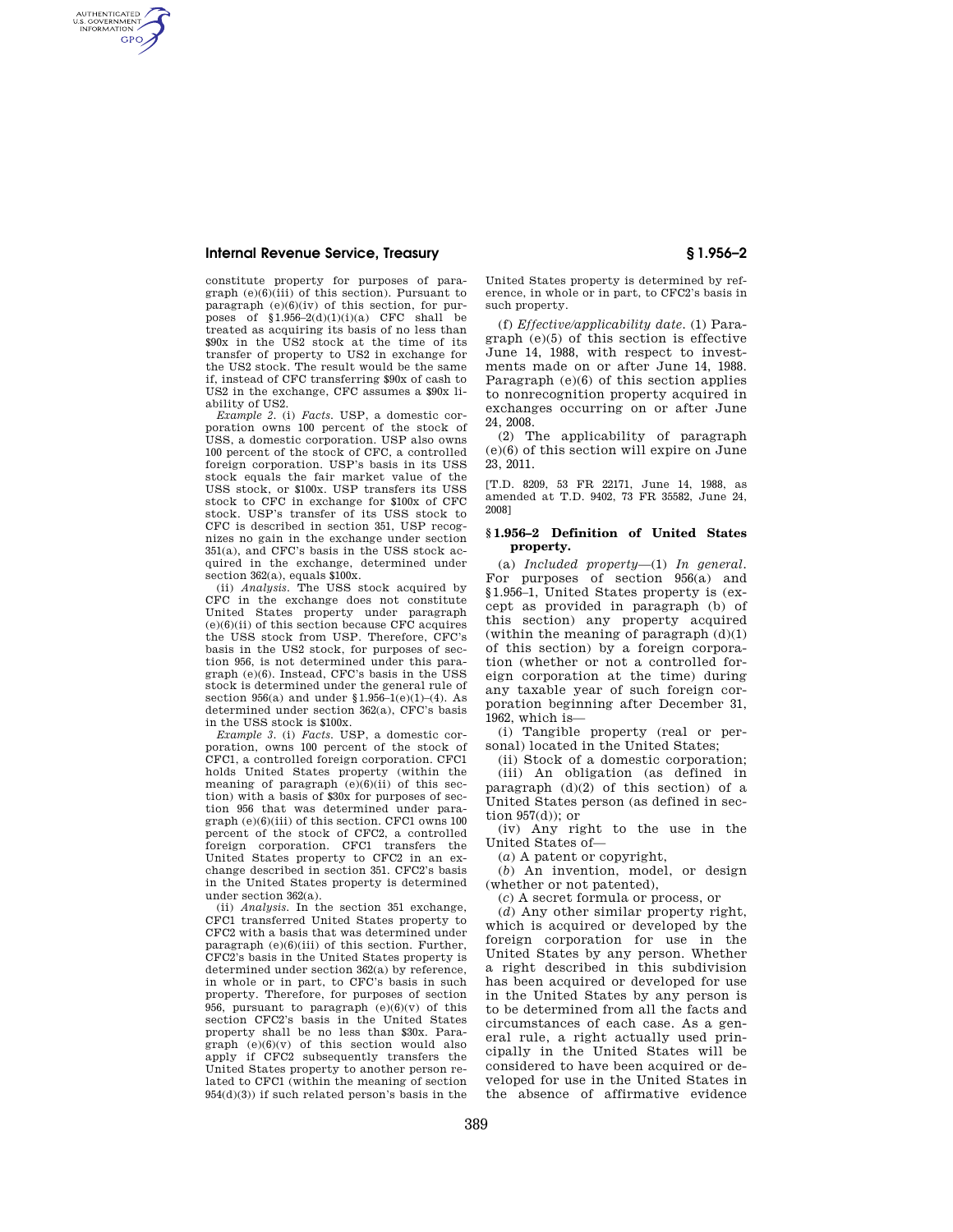## **Internal Revenue Service, Treasury § 1.956–2**

AUTHENTICATED<br>U.S. GOVERNMENT<br>INFORMATION **GPO** 

> constitute property for purposes of paragraph (e)(6)(iii) of this section). Pursuant to paragraph  $(e)(6)(iv)$  of this section, for purposes of  $$1.956-2(d)(1)(i)(a)$  CFC shall be treated as acquiring its basis of no less than \$90x in the US2 stock at the time of its transfer of property to US2 in exchange for the US2 stock. The result would be the same if, instead of CFC transferring \$90x of cash to US2 in the exchange, CFC assumes a \$90x liability of US2.

> *Example 2.* (i) *Facts.* USP, a domestic corporation owns 100 percent of the stock of USS, a domestic corporation. USP also owns 100 percent of the stock of CFC, a controlled foreign corporation. USP's basis in its USS stock equals the fair market value of the USS stock, or \$100x. USP transfers its USS stock to CFC in exchange for \$100x of CFC stock. USP's transfer of its USS stock to CFC is described in section 351, USP recognizes no gain in the exchange under section 351(a), and CFC's basis in the USS stock acquired in the exchange, determined under section 362(a), equals \$100x.

> (ii) *Analysis.* The USS stock acquired by CFC in the exchange does not constitute United States property under paragraph  $(e)(6)(ii)$  of this section because CFC acquires the USS stock from USP. Therefore, CFC's basis in the US2 stock, for purposes of section 956, is not determined under this paragraph (e)(6). Instead, CFC's basis in the USS stock is determined under the general rule of section 956(a) and under  $$1.956-1(e)(1)-(4)$ . As determined under section 362(a), CFC's basis in the USS stock is \$100x.

> *Example 3.* (i) *Facts.* USP, a domestic corporation, owns 100 percent of the stock of CFC1, a controlled foreign corporation. CFC1 holds United States property (within the meaning of paragraph (e)(6)(ii) of this section) with a basis of \$30x for purposes of section 956 that was determined under para $graph (e)(6)(iii)$  of this section. CFC1 owns  $100$ percent of the stock of CFC2, a controlled foreign corporation. CFC1 transfers the United States property to CFC2 in an exchange described in section 351. CFC2's basis in the United States property is determined under section 362(a).

> (ii) *Analysis.* In the section 351 exchange, CFC1 transferred United States property to CFC2 with a basis that was determined under paragraph  $(e)(6)(iii)$  of this section. Further, CFC2's basis in the United States property is determined under section 362(a) by reference, in whole or in part, to CFC's basis in such property. Therefore, for purposes of section 956, pursuant to paragraph (e)(6)(v) of this section CFC2's basis in the United States property shall be no less than \$30x. Paragraph (e)(6)(v) of this section would also apply if CFC2 subsequently transfers the United States property to another person related to CFC1 (within the meaning of section  $954(d)(3)$  if such related person's basis in the

United States property is determined by reference, in whole or in part, to CFC2's basis in such property.

(f) *Effective/applicability date.* (1) Paragraph (e)(5) of this section is effective June 14, 1988, with respect to investments made on or after June 14, 1988. Paragraph (e)(6) of this section applies to nonrecognition property acquired in exchanges occurring on or after June 24, 2008.

(2) The applicability of paragraph (e)(6) of this section will expire on June 23, 2011.

[T.D. 8209, 53 FR 22171, June 14, 1988, as amended at T.D. 9402, 73 FR 35582, June 24, 2008]

#### **§ 1.956–2 Definition of United States property.**

(a) *Included property*—(1) *In general.*  For purposes of section 956(a) and §1.956–1, United States property is (except as provided in paragraph (b) of this section) any property acquired (within the meaning of paragraph  $(d)(1)$ ) of this section) by a foreign corporation (whether or not a controlled foreign corporation at the time) during any taxable year of such foreign corporation beginning after December 31, 1962, which is—

(i) Tangible property (real or personal) located in the United States;

(ii) Stock of a domestic corporation; (iii) An obligation (as defined in paragraph (d)(2) of this section) of a United States person (as defined in section  $957(d)$ ; or

(iv) Any right to the use in the United States of—

(*a*) A patent or copyright,

(*b*) An invention, model, or design (whether or not patented),

(*c*) A secret formula or process, or

(*d*) Any other similar property right, which is acquired or developed by the foreign corporation for use in the United States by any person. Whether a right described in this subdivision has been acquired or developed for use in the United States by any person is to be determined from all the facts and circumstances of each case. As a general rule, a right actually used principally in the United States will be considered to have been acquired or developed for use in the United States in the absence of affirmative evidence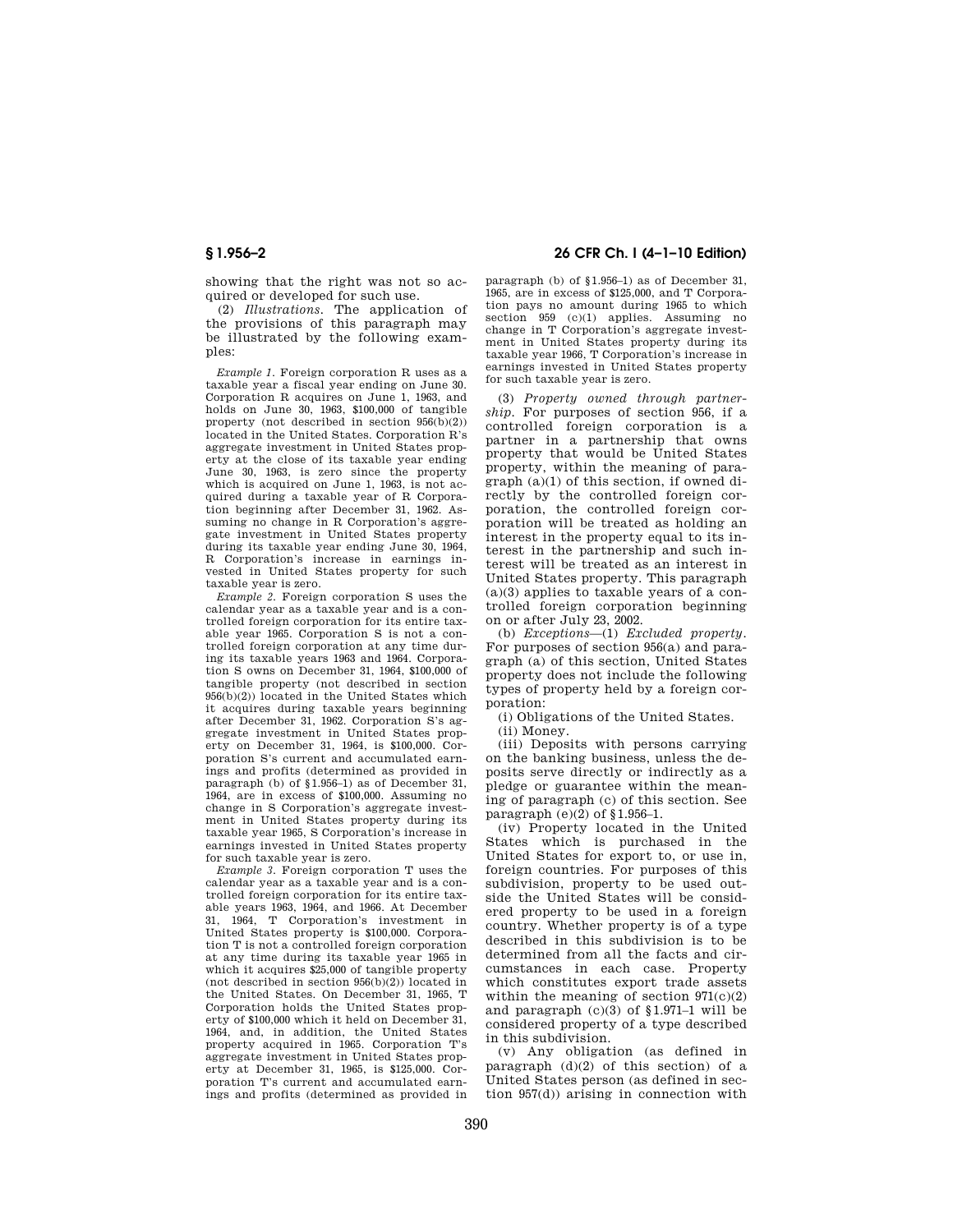showing that the right was not so acquired or developed for such use.

(2) *Illustrations.* The application of the provisions of this paragraph may be illustrated by the following examples:

*Example 1.* Foreign corporation R uses as a taxable year a fiscal year ending on June 30. Corporation R acquires on June 1, 1963, and holds on June 30, 1963, \$100,000 of tangible property (not described in section 956(b)(2)) located in the United States. Corporation R's aggregate investment in United States property at the close of its taxable year ending June 30, 1963, is zero since the property which is acquired on June 1, 1963, is not acquired during a taxable year of R Corporation beginning after December 31, 1962. Assuming no change in R Corporation's aggregate investment in United States property during its taxable year ending June 30, 1964, R Corporation's increase in earnings invested in United States property for such taxable year is zero.

*Example 2.* Foreign corporation S uses the calendar year as a taxable year and is a controlled foreign corporation for its entire taxable year 1965. Corporation S is not a controlled foreign corporation at any time during its taxable years 1963 and 1964. Corporation S owns on December 31, 1964, \$100,000 of tangible property (not described in section 956(b)(2)) located in the United States which it acquires during taxable years beginning after December 31, 1962. Corporation S's aggregate investment in United States property on December 31, 1964, is \$100,000. Corporation S's current and accumulated earnings and profits (determined as provided in paragraph (b) of §1.956–1) as of December 31, 1964, are in excess of \$100,000. Assuming no change in S Corporation's aggregate investment in United States property during its taxable year 1965, S Corporation's increase in earnings invested in United States property for such taxable year is zero.

*Example 3.* Foreign corporation T uses the calendar year as a taxable year and is a controlled foreign corporation for its entire taxable years 1963, 1964, and 1966. At December 31, 1964, T Corporation's investment in United States property is \$100,000. Corporation T is not a controlled foreign corporation at any time during its taxable year 1965 in which it acquires \$25,000 of tangible property (not described in section  $956(b)(2)$ ) located in the United States. On December 31, 1965, T Corporation holds the United States property of \$100,000 which it held on December 31, 1964, and, in addition, the United States property acquired in 1965. Corporation T's aggregate investment in United States property at December 31, 1965, is \$125,000. Corporation T's current and accumulated earnings and profits (determined as provided in

# **§ 1.956–2 26 CFR Ch. I (4–1–10 Edition)**

paragraph (b) of §1.956–1) as of December 31, 1965, are in excess of \$125,000, and T Corporation pays no amount during 1965 to which section 959 (c)(1) applies. Assuming no change in T Corporation's aggregate investment in United States property during its taxable year 1966, T Corporation's increase in earnings invested in United States property for such taxable year is zero.

(3) *Property owned through partnership.* For purposes of section 956, if a controlled foreign corporation is a partner in a partnership that owns property that would be United States property, within the meaning of paragraph (a)(1) of this section, if owned directly by the controlled foreign corporation, the controlled foreign corporation will be treated as holding an interest in the property equal to its interest in the partnership and such interest will be treated as an interest in United States property. This paragraph (a)(3) applies to taxable years of a controlled foreign corporation beginning on or after July 23, 2002.

(b) *Exceptions*—(1) *Excluded property.*  For purposes of section 956(a) and paragraph (a) of this section, United States property does not include the following types of property held by a foreign corporation:

(i) Obligations of the United States.

(ii) Money.

(iii) Deposits with persons carrying on the banking business, unless the deposits serve directly or indirectly as a pledge or guarantee within the meaning of paragraph (c) of this section. See paragraph  $(e)(2)$  of §1.956-1.

(iv) Property located in the United States which is purchased in the United States for export to, or use in, foreign countries. For purposes of this subdivision, property to be used outside the United States will be considered property to be used in a foreign country. Whether property is of a type described in this subdivision is to be determined from all the facts and circumstances in each case. Property which constitutes export trade assets within the meaning of section  $971(c)(2)$ and paragraph  $(c)(3)$  of §1.971–1 will be considered property of a type described in this subdivision.

(v) Any obligation (as defined in paragraph  $(d)(2)$  of this section) of a United States person (as defined in section 957(d)) arising in connection with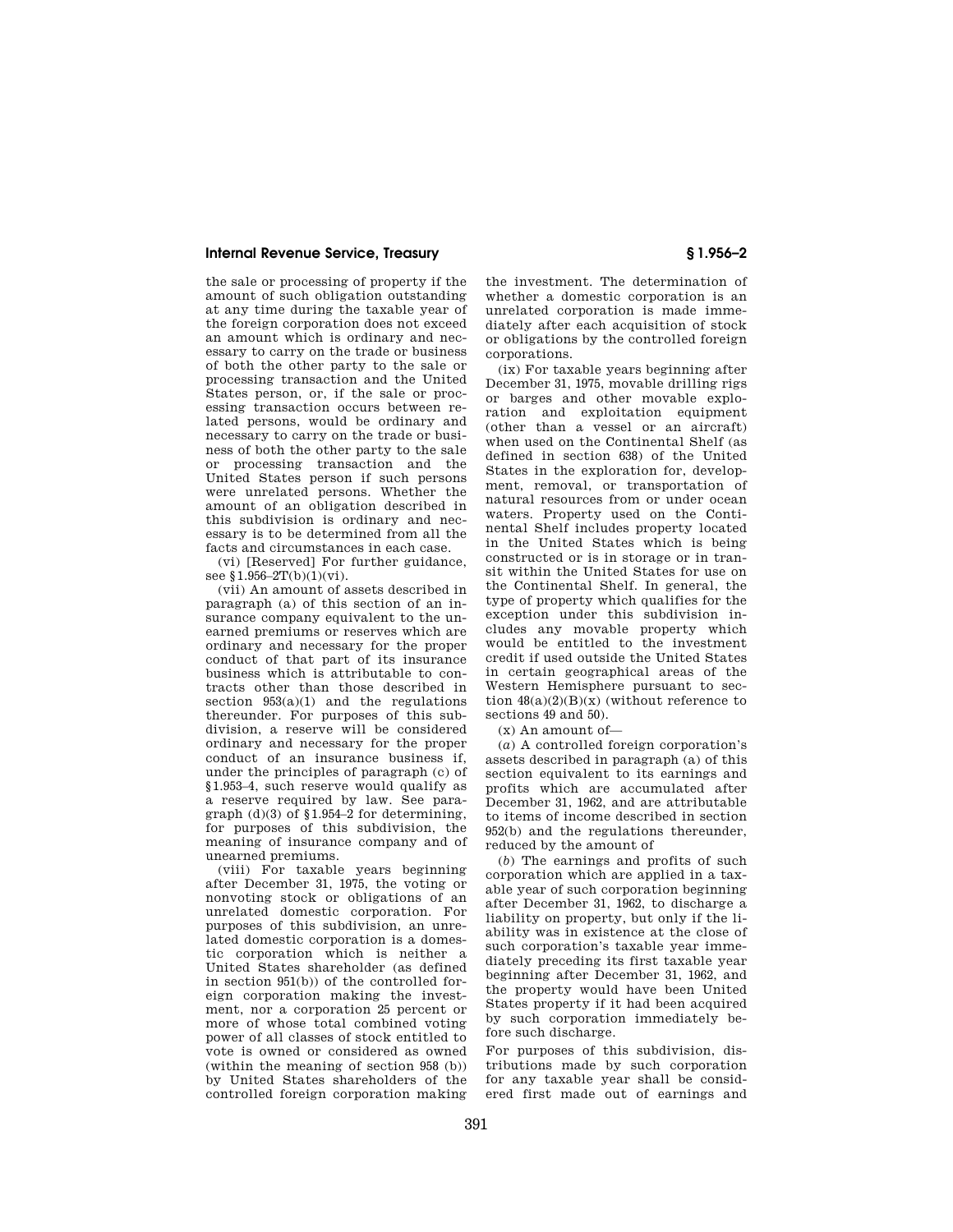### **Internal Revenue Service, Treasury § 1.956–2**

the sale or processing of property if the amount of such obligation outstanding at any time during the taxable year of the foreign corporation does not exceed an amount which is ordinary and necessary to carry on the trade or business of both the other party to the sale or processing transaction and the United States person, or, if the sale or processing transaction occurs between related persons, would be ordinary and necessary to carry on the trade or business of both the other party to the sale or processing transaction and the United States person if such persons were unrelated persons. Whether the amount of an obligation described in this subdivision is ordinary and necessary is to be determined from all the facts and circumstances in each case.

(vi) [Reserved] For further guidance, see §1.956–2T(b)(1)(vi).

(vii) An amount of assets described in paragraph (a) of this section of an insurance company equivalent to the unearned premiums or reserves which are ordinary and necessary for the proper conduct of that part of its insurance business which is attributable to contracts other than those described in section 953(a)(1) and the regulations thereunder. For purposes of this subdivision, a reserve will be considered ordinary and necessary for the proper conduct of an insurance business if, under the principles of paragraph (c) of §1.953–4, such reserve would qualify as a reserve required by law. See paragraph (d)(3) of §1.954–2 for determining, for purposes of this subdivision, the meaning of insurance company and of unearned premiums.

(viii) For taxable years beginning after December 31, 1975, the voting or nonvoting stock or obligations of an unrelated domestic corporation. For purposes of this subdivision, an unrelated domestic corporation is a domestic corporation which is neither a United States shareholder (as defined in section 951(b)) of the controlled foreign corporation making the investment, nor a corporation 25 percent or more of whose total combined voting power of all classes of stock entitled to vote is owned or considered as owned (within the meaning of section 958 (b)) by United States shareholders of the controlled foreign corporation making

the investment. The determination of whether a domestic corporation is an unrelated corporation is made immediately after each acquisition of stock or obligations by the controlled foreign corporations.

(ix) For taxable years beginning after December 31, 1975, movable drilling rigs or barges and other movable exploration and exploitation equipment (other than a vessel or an aircraft) when used on the Continental Shelf (as defined in section 638) of the United States in the exploration for, development, removal, or transportation of natural resources from or under ocean waters. Property used on the Continental Shelf includes property located in the United States which is being constructed or is in storage or in transit within the United States for use on the Continental Shelf. In general, the type of property which qualifies for the exception under this subdivision includes any movable property which would be entitled to the investment credit if used outside the United States in certain geographical areas of the Western Hemisphere pursuant to section  $48(a)(2)(B)(x)$  (without reference to sections 49 and 50).

(x) An amount of—

(*a*) A controlled foreign corporation's assets described in paragraph (a) of this section equivalent to its earnings and profits which are accumulated after December 31, 1962, and are attributable to items of income described in section 952(b) and the regulations thereunder, reduced by the amount of

(*b*) The earnings and profits of such corporation which are applied in a taxable year of such corporation beginning after December 31, 1962, to discharge a liability on property, but only if the liability was in existence at the close of such corporation's taxable year immediately preceding its first taxable year beginning after December 31, 1962, and the property would have been United States property if it had been acquired by such corporation immediately before such discharge.

For purposes of this subdivision, distributions made by such corporation for any taxable year shall be considered first made out of earnings and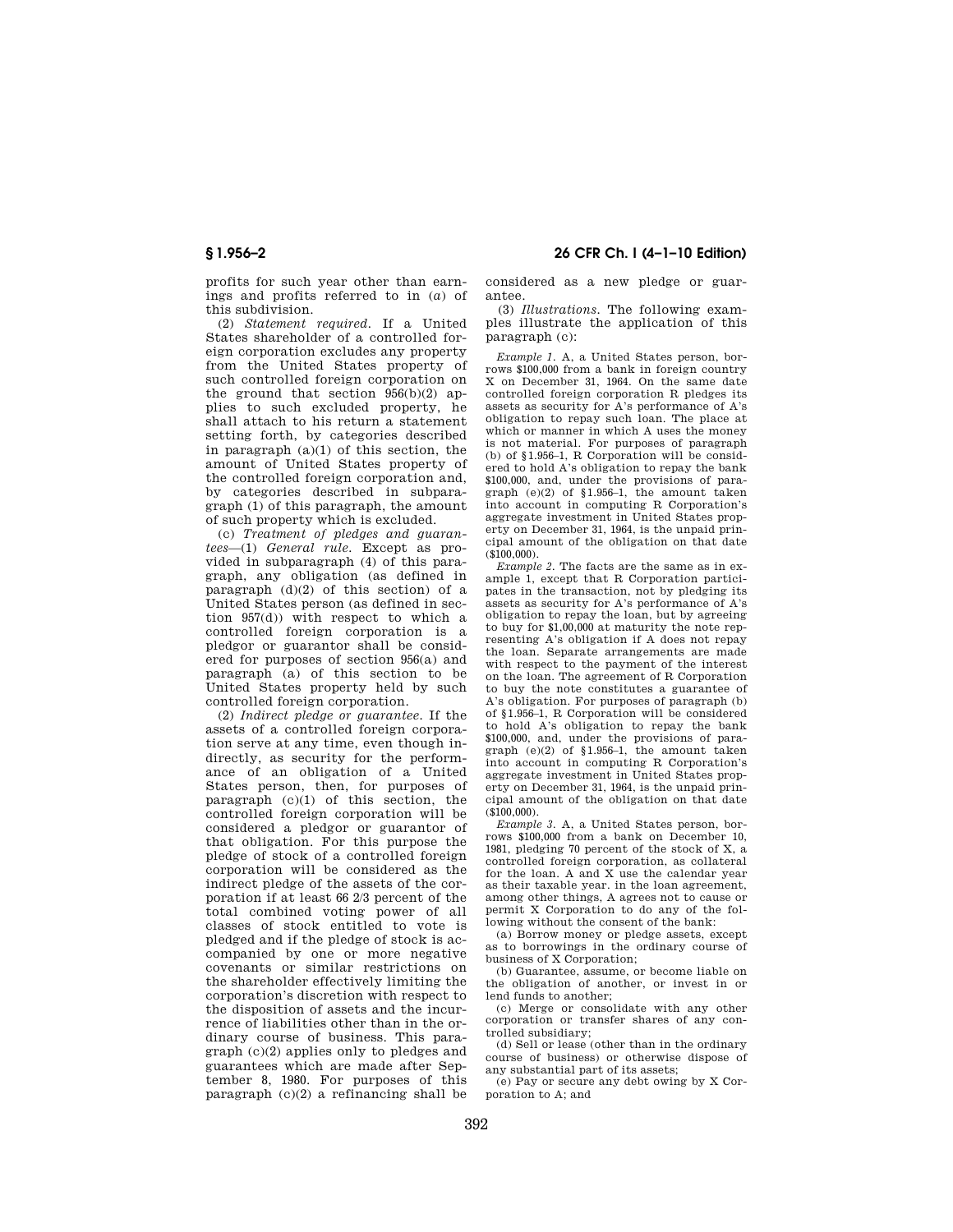profits for such year other than earnings and profits referred to in (*a*) of this subdivision.

(2) *Statement required.* If a United States shareholder of a controlled foreign corporation excludes any property from the United States property of such controlled foreign corporation on the ground that section  $956(b)(2)$  applies to such excluded property, he shall attach to his return a statement setting forth, by categories described in paragraph  $(a)(1)$  of this section, the amount of United States property of the controlled foreign corporation and, by categories described in subparagraph (1) of this paragraph, the amount of such property which is excluded.

(c) *Treatment of pledges and guarantees*—(1) *General rule.* Except as provided in subparagraph (4) of this paragraph, any obligation (as defined in paragraph  $(d)(2)$  of this section) of a United States person (as defined in section  $957(d)$ ) with respect to which a controlled foreign corporation is a pledgor or guarantor shall be considered for purposes of section 956(a) and paragraph (a) of this section to be United States property held by such controlled foreign corporation.

(2) *Indirect pledge or guarantee.* If the assets of a controlled foreign corporation serve at any time, even though indirectly, as security for the performance of an obligation of a United States person, then, for purposes of paragraph (c)(1) of this section, the controlled foreign corporation will be considered a pledgor or guarantor of that obligation. For this purpose the pledge of stock of a controlled foreign corporation will be considered as the indirect pledge of the assets of the corporation if at least 66 2/3 percent of the total combined voting power of all classes of stock entitled to vote is pledged and if the pledge of stock is accompanied by one or more negative covenants or similar restrictions on the shareholder effectively limiting the corporation's discretion with respect to the disposition of assets and the incurrence of liabilities other than in the ordinary course of business. This paragraph (c)(2) applies only to pledges and guarantees which are made after September 8, 1980. For purposes of this paragraph  $(c)(2)$  a refinancing shall be

# **§ 1.956–2 26 CFR Ch. I (4–1–10 Edition)**

considered as a new pledge or guarantee.

(3) *Illustrations.* The following examples illustrate the application of this paragraph (c):

*Example 1.* A, a United States person, borrows \$100,000 from a bank in foreign country X on December 31, 1964. On the same date controlled foreign corporation R pledges its assets as security for A's performance of A's obligation to repay such loan. The place at which or manner in which A uses the money is not material. For purposes of paragraph (b) of §1.956–1, R Corporation will be considered to hold A's obligation to repay the bank \$100,000, and, under the provisions of paragraph (e)(2) of §1.956–1, the amount taken into account in computing R Corporation's aggregate investment in United States property on December 31, 1964, is the unpaid principal amount of the obligation on that date  $($ \$100,000 $).$ 

*Example 2.* The facts are the same as in example 1, except that R Corporation participates in the transaction, not by pledging its assets as security for A's performance of A's obligation to repay the loan, but by agreeing to buy for \$1,00,000 at maturity the note representing A's obligation if A does not repay the loan. Separate arrangements are made with respect to the payment of the interest on the loan. The agreement of R Corporation to buy the note constitutes a guarantee of A's obligation. For purposes of paragraph (b) of §1.956–1, R Corporation will be considered to hold A's obligation to repay the bank \$100,000, and, under the provisions of paragraph (e)(2) of §1.956–1, the amount taken into account in computing R Corporation's aggregate investment in United States property on December 31, 1964, is the unpaid principal amount of the obligation on that date  $(5100,000)$ .

*Example 3.* A, a United States person, borrows \$100,000 from a bank on December 10, 1981, pledging 70 percent of the stock of X, a controlled foreign corporation, as collateral for the loan. A and X use the calendar year as their taxable year. in the loan agreement, among other things, A agrees not to cause or permit X Corporation to do any of the following without the consent of the bank:

(a) Borrow money or pledge assets, except as to borrowings in the ordinary course of business of X Corporation;

(b) Guarantee, assume, or become liable on the obligation of another, or invest in or lend funds to another;

(c) Merge or consolidate with any other corporation or transfer shares of any controlled subsidiary;

(d) Sell or lease (other than in the ordinary course of business) or otherwise dispose of any substantial part of its assets;

(e) Pay or secure any debt owing by X Corporation to A; and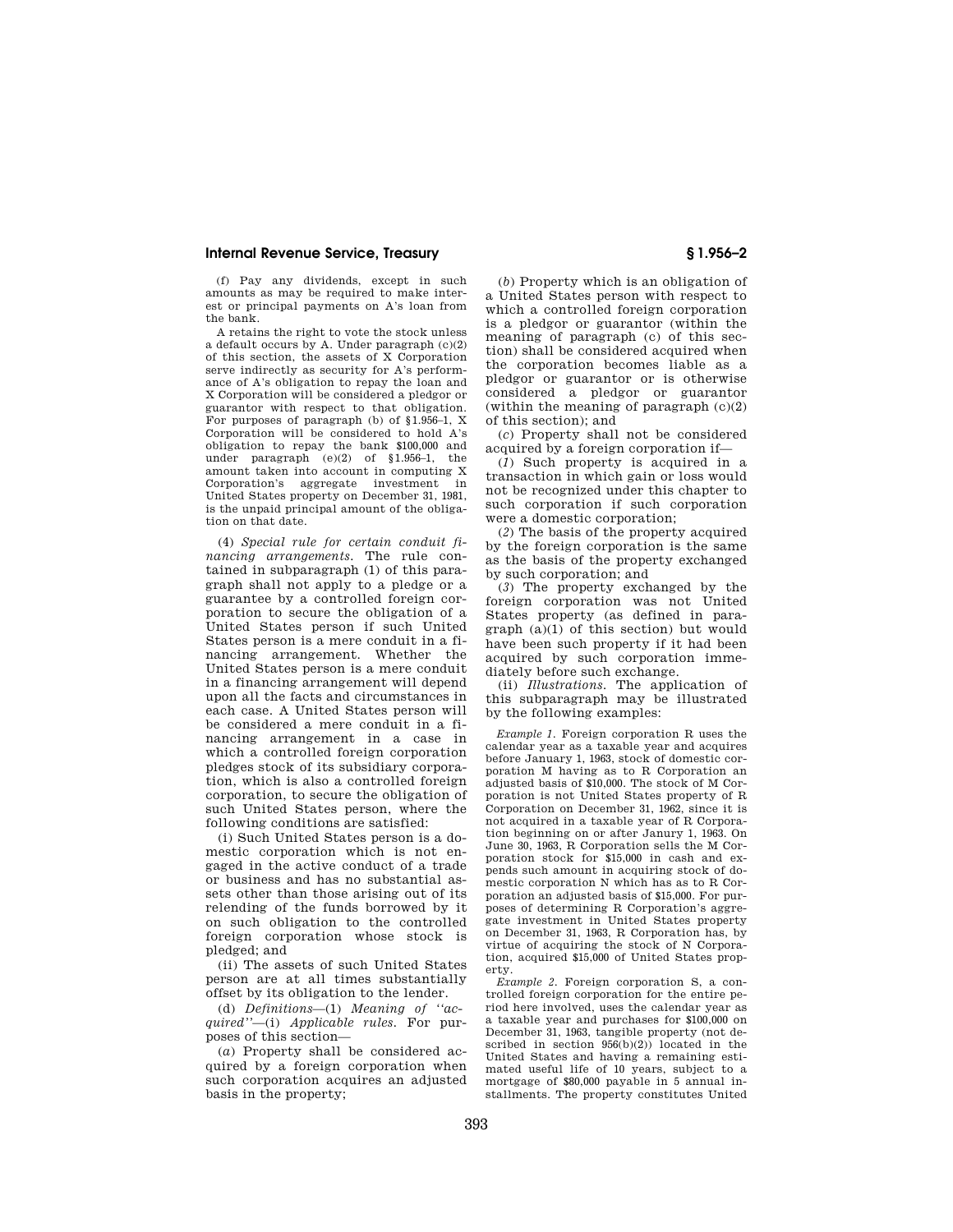### **Internal Revenue Service, Treasury § 1.956–2**

(f) Pay any dividends, except in such amounts as may be required to make interest or principal payments on A's loan from the bank.

A retains the right to vote the stock unless a default occurs by A. Under paragraph (c)(2) of this section, the assets of X Corporation serve indirectly as security for A's performance of A's obligation to repay the loan and X Corporation will be considered a pledgor or guarantor with respect to that obligation. For purposes of paragraph (b) of §1.956–1, X Corporation will be considered to hold A's obligation to repay the bank \$100,000 and under paragraph (e)(2) of §1.956–1, the amount taken into account in computing X Corporation's aggregate investment in United States property on December 31, 1981, is the unpaid principal amount of the obligation on that date.

(4) *Special rule for certain conduit financing arrangements.* The rule contained in subparagraph (1) of this paragraph shall not apply to a pledge or a guarantee by a controlled foreign corporation to secure the obligation of a United States person if such United States person is a mere conduit in a financing arrangement. Whether the United States person is a mere conduit in a financing arrangement will depend upon all the facts and circumstances in each case. A United States person will be considered a mere conduit in a financing arrangement in a case in which a controlled foreign corporation pledges stock of its subsidiary corporation, which is also a controlled foreign corporation, to secure the obligation of such United States person, where the following conditions are satisfied:

(i) Such United States person is a domestic corporation which is not engaged in the active conduct of a trade or business and has no substantial assets other than those arising out of its relending of the funds borrowed by it on such obligation to the controlled foreign corporation whose stock is pledged; and

(ii) The assets of such United States person are at all times substantially offset by its obligation to the lender.

(d) *Definitions*—(1) *Meaning of ''acquired''*—(i) *Applicable rules.* For purposes of this section—

(*a*) Property shall be considered acquired by a foreign corporation when such corporation acquires an adjusted basis in the property;

(*b*) Property which is an obligation of a United States person with respect to which a controlled foreign corporation is a pledgor or guarantor (within the meaning of paragraph (c) of this section) shall be considered acquired when the corporation becomes liable as a pledgor or guarantor or is otherwise considered a pledgor or guarantor (within the meaning of paragraph  $(c)(2)$ ) of this section); and

(*c*) Property shall not be considered acquired by a foreign corporation if—

(*1*) Such property is acquired in a transaction in which gain or loss would not be recognized under this chapter to such corporation if such corporation were a domestic corporation;

(*2*) The basis of the property acquired by the foreign corporation is the same as the basis of the property exchanged by such corporation; and

(*3*) The property exchanged by the foreign corporation was not United States property (as defined in paragraph (a)(1) of this section) but would have been such property if it had been acquired by such corporation immediately before such exchange.

(ii) *Illustrations.* The application of this subparagraph may be illustrated by the following examples:

*Example 1.* Foreign corporation R uses the calendar year as a taxable year and acquires before January 1, 1963, stock of domestic corporation M having as to R Corporation an adjusted basis of \$10,000. The stock of M Corporation is not United States property of R Corporation on December 31, 1962, since it is not acquired in a taxable year of R Corporation beginning on or after Janury 1, 1963. On June 30, 1963, R Corporation sells the M Corporation stock for \$15,000 in cash and expends such amount in acquiring stock of domestic corporation N which has as to R Corporation an adjusted basis of \$15,000. For purposes of determining R Corporation's aggregate investment in United States property on December 31, 1963, R Corporation has, by virtue of acquiring the stock of N Corporation, acquired \$15,000 of United States property.

*Example 2.* Foreign corporation S, a controlled foreign corporation for the entire period here involved, uses the calendar year as a taxable year and purchases for \$100,000 on December 31, 1963, tangible property (not described in section 956(b)(2)) located in the United States and having a remaining estimated useful life of 10 years, subject to a mortgage of \$80,000 payable in 5 annual installments. The property constitutes United